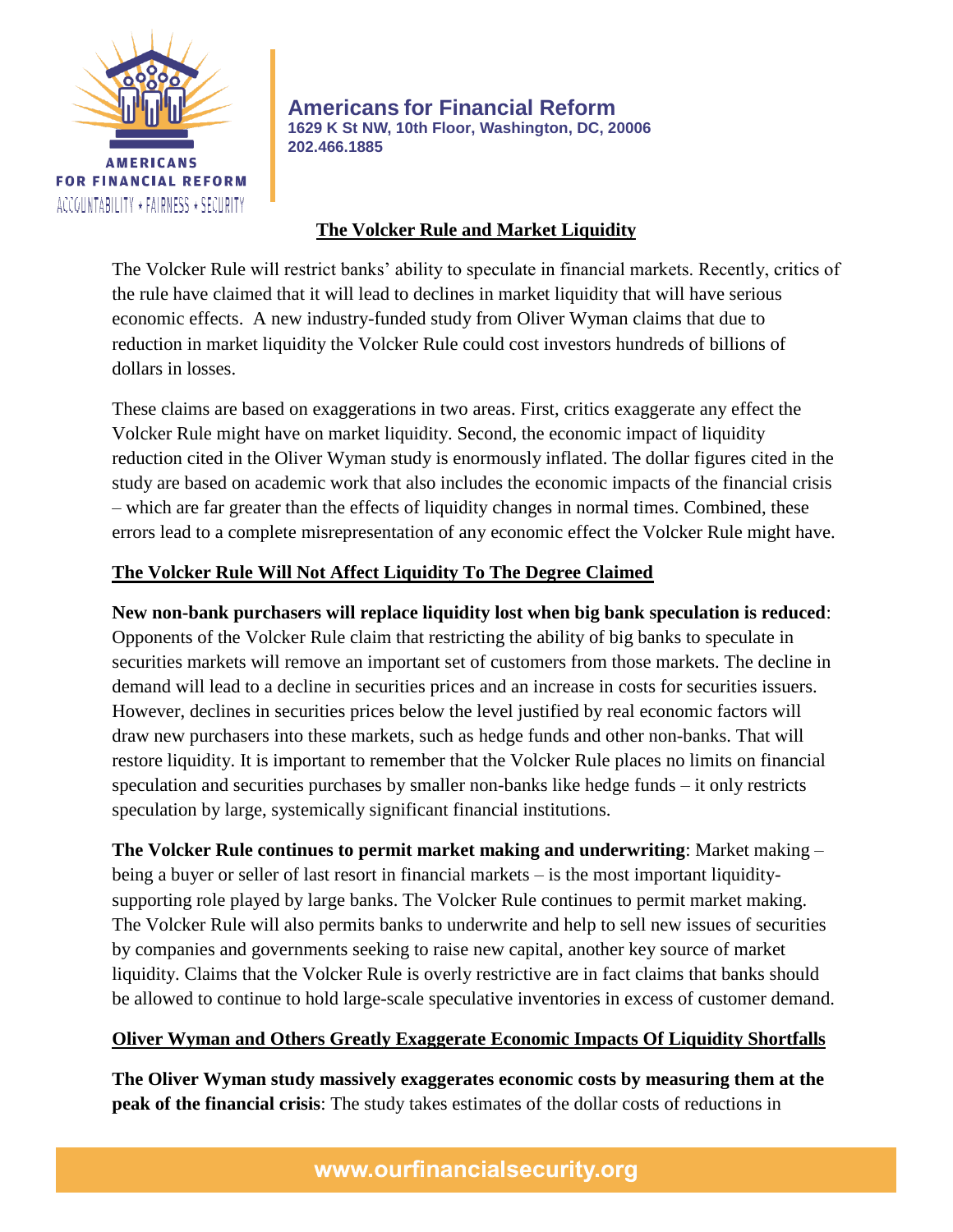

**Americans for Financial Reform 1629 K St NW, 10th Floor, Washington, DC, 20006 202.466.1885**

## **The Volcker Rule and Market Liquidity**

The Volcker Rule will restrict banks' ability to speculate in financial markets. Recently, critics of the rule have claimed that it will lead to declines in market liquidity that will have serious economic effects. A new industry-funded study from Oliver Wyman claims that due to reduction in market liquidity the Volcker Rule could cost investors hundreds of billions of dollars in losses.

These claims are based on exaggerations in two areas. First, critics exaggerate any effect the Volcker Rule might have on market liquidity. Second, the economic impact of liquidity reduction cited in the Oliver Wyman study is enormously inflated. The dollar figures cited in the study are based on academic work that also includes the economic impacts of the financial crisis – which are far greater than the effects of liquidity changes in normal times. Combined, these errors lead to a complete misrepresentation of any economic effect the Volcker Rule might have.

# **The Volcker Rule Will Not Affect Liquidity To The Degree Claimed**

**New non-bank purchasers will replace liquidity lost when big bank speculation is reduced**: Opponents of the Volcker Rule claim that restricting the ability of big banks to speculate in securities markets will remove an important set of customers from those markets. The decline in demand will lead to a decline in securities prices and an increase in costs for securities issuers. However, declines in securities prices below the level justified by real economic factors will draw new purchasers into these markets, such as hedge funds and other non-banks. That will restore liquidity. It is important to remember that the Volcker Rule places no limits on financial speculation and securities purchases by smaller non-banks like hedge funds – it only restricts speculation by large, systemically significant financial institutions.

**The Volcker Rule continues to permit market making and underwriting**: Market making – being a buyer or seller of last resort in financial markets – is the most important liquiditysupporting role played by large banks. The Volcker Rule continues to permit market making. The Volcker Rule will also permits banks to underwrite and help to sell new issues of securities by companies and governments seeking to raise new capital, another key source of market liquidity. Claims that the Volcker Rule is overly restrictive are in fact claims that banks should be allowed to continue to hold large-scale speculative inventories in excess of customer demand.

### **Oliver Wyman and Others Greatly Exaggerate Economic Impacts Of Liquidity Shortfalls**

**The Oliver Wyman study massively exaggerates economic costs by measuring them at the peak of the financial crisis**: The study takes estimates of the dollar costs of reductions in

www.ourfinancialsecurity.org